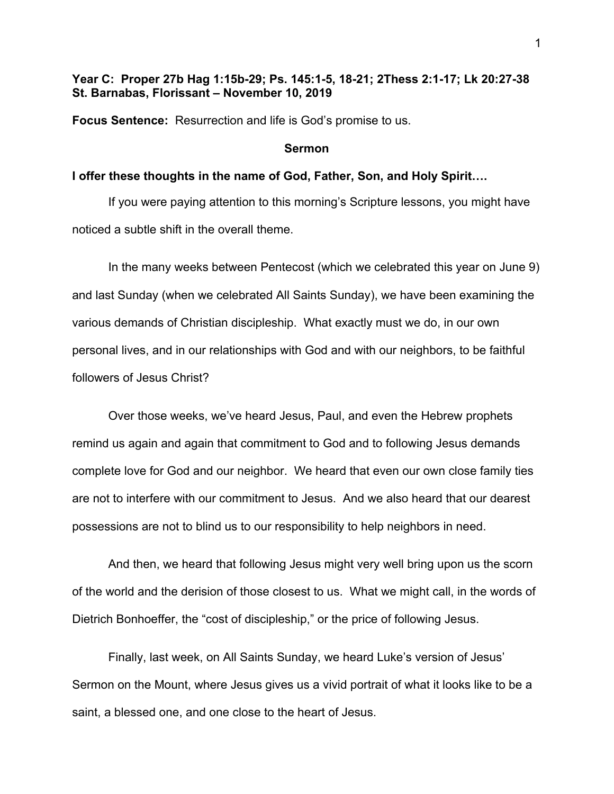# **Year C: Proper 27b Hag 1:15b-29; Ps. 145:1-5, 18-21; 2Thess 2:1-17; Lk 20:27-38 St. Barnabas, Florissant – November 10, 2019**

**Focus Sentence:** Resurrection and life is God's promise to us.

#### **Sermon**

## **I offer these thoughts in the name of God, Father, Son, and Holy Spirit….**

If you were paying attention to this morning's Scripture lessons, you might have noticed a subtle shift in the overall theme.

In the many weeks between Pentecost (which we celebrated this year on June 9) and last Sunday (when we celebrated All Saints Sunday), we have been examining the various demands of Christian discipleship. What exactly must we do, in our own personal lives, and in our relationships with God and with our neighbors, to be faithful followers of Jesus Christ?

Over those weeks, we've heard Jesus, Paul, and even the Hebrew prophets remind us again and again that commitment to God and to following Jesus demands complete love for God and our neighbor. We heard that even our own close family ties are not to interfere with our commitment to Jesus. And we also heard that our dearest possessions are not to blind us to our responsibility to help neighbors in need.

And then, we heard that following Jesus might very well bring upon us the scorn of the world and the derision of those closest to us. What we might call, in the words of Dietrich Bonhoeffer, the "cost of discipleship," or the price of following Jesus.

Finally, last week, on All Saints Sunday, we heard Luke's version of Jesus' Sermon on the Mount, where Jesus gives us a vivid portrait of what it looks like to be a saint, a blessed one, and one close to the heart of Jesus.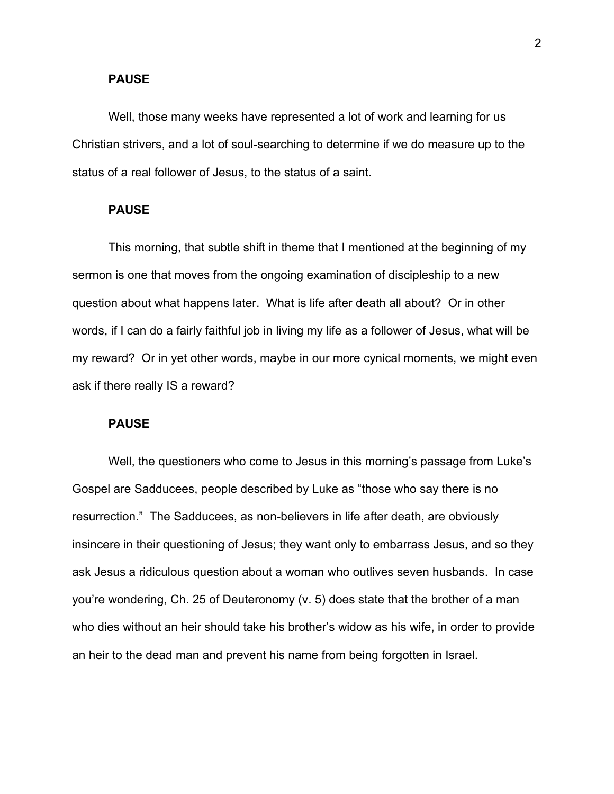#### **PAUSE**

Well, those many weeks have represented a lot of work and learning for us Christian strivers, and a lot of soul-searching to determine if we do measure up to the status of a real follower of Jesus, to the status of a saint.

#### **PAUSE**

This morning, that subtle shift in theme that I mentioned at the beginning of my sermon is one that moves from the ongoing examination of discipleship to a new question about what happens later. What is life after death all about? Or in other words, if I can do a fairly faithful job in living my life as a follower of Jesus, what will be my reward? Or in yet other words, maybe in our more cynical moments, we might even ask if there really IS a reward?

#### **PAUSE**

Well, the questioners who come to Jesus in this morning's passage from Luke's Gospel are Sadducees, people described by Luke as "those who say there is no resurrection." The Sadducees, as non-believers in life after death, are obviously insincere in their questioning of Jesus; they want only to embarrass Jesus, and so they ask Jesus a ridiculous question about a woman who outlives seven husbands. In case you're wondering, Ch. 25 of Deuteronomy (v. 5) does state that the brother of a man who dies without an heir should take his brother's widow as his wife, in order to provide an heir to the dead man and prevent his name from being forgotten in Israel.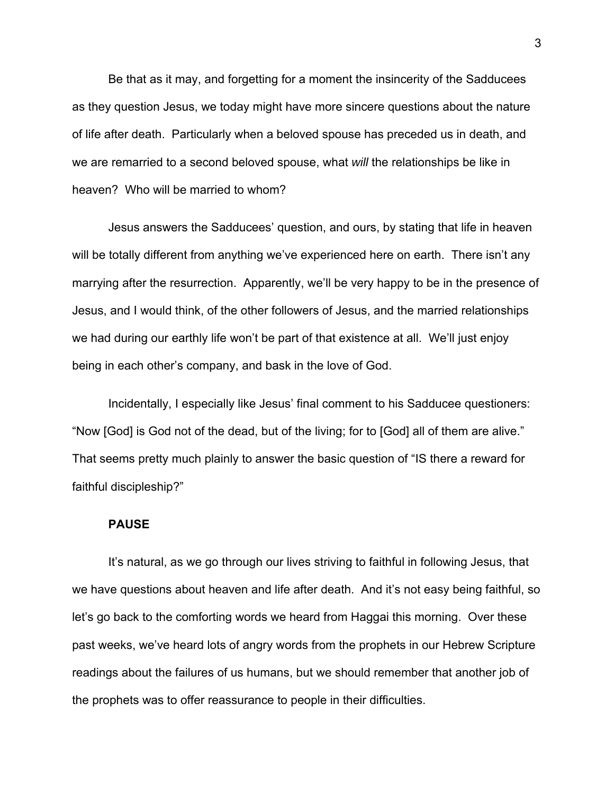Be that as it may, and forgetting for a moment the insincerity of the Sadducees as they question Jesus, we today might have more sincere questions about the nature of life after death. Particularly when a beloved spouse has preceded us in death, and we are remarried to a second beloved spouse, what *will* the relationships be like in heaven? Who will be married to whom?

Jesus answers the Sadducees' question, and ours, by stating that life in heaven will be totally different from anything we've experienced here on earth. There isn't any marrying after the resurrection. Apparently, we'll be very happy to be in the presence of Jesus, and I would think, of the other followers of Jesus, and the married relationships we had during our earthly life won't be part of that existence at all. We'll just enjoy being in each other's company, and bask in the love of God.

Incidentally, I especially like Jesus' final comment to his Sadducee questioners: "Now [God] is God not of the dead, but of the living; for to [God] all of them are alive." That seems pretty much plainly to answer the basic question of "IS there a reward for faithful discipleship?"

### **PAUSE**

It's natural, as we go through our lives striving to faithful in following Jesus, that we have questions about heaven and life after death. And it's not easy being faithful, so let's go back to the comforting words we heard from Haggai this morning. Over these past weeks, we've heard lots of angry words from the prophets in our Hebrew Scripture readings about the failures of us humans, but we should remember that another job of the prophets was to offer reassurance to people in their difficulties.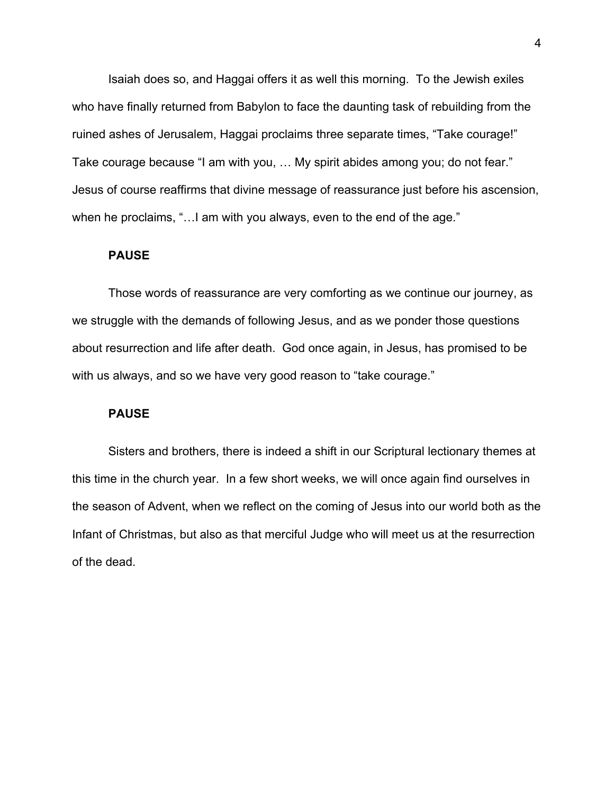Isaiah does so, and Haggai offers it as well this morning. To the Jewish exiles who have finally returned from Babylon to face the daunting task of rebuilding from the ruined ashes of Jerusalem, Haggai proclaims three separate times, "Take courage!" Take courage because "I am with you, … My spirit abides among you; do not fear." Jesus of course reaffirms that divine message of reassurance just before his ascension, when he proclaims, "... I am with you always, even to the end of the age."

## **PAUSE**

Those words of reassurance are very comforting as we continue our journey, as we struggle with the demands of following Jesus, and as we ponder those questions about resurrection and life after death. God once again, in Jesus, has promised to be with us always, and so we have very good reason to "take courage."

## **PAUSE**

Sisters and brothers, there is indeed a shift in our Scriptural lectionary themes at this time in the church year. In a few short weeks, we will once again find ourselves in the season of Advent, when we reflect on the coming of Jesus into our world both as the Infant of Christmas, but also as that merciful Judge who will meet us at the resurrection of the dead.